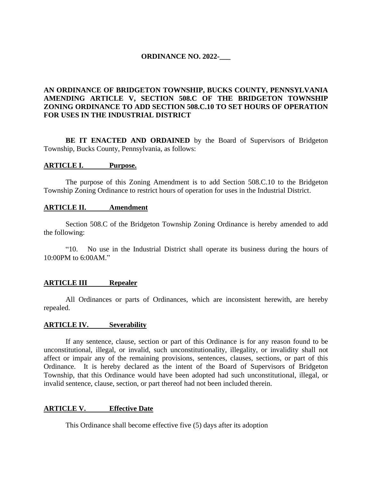## **ORDINANCE NO. 2022-\_\_\_**

# **AN ORDINANCE OF BRIDGETON TOWNSHIP, BUCKS COUNTY, PENNSYLVANIA AMENDING ARTICLE V, SECTION 508.C OF THE BRIDGETON TOWNSHIP ZONING ORDINANCE TO ADD SECTION 508.C.10 TO SET HOURS OF OPERATION FOR USES IN THE INDUSTRIAL DISTRICT**

BE IT ENACTED AND ORDAINED by the Board of Supervisors of Bridgeton Township, Bucks County, Pennsylvania, as follows:

#### **ARTICLE I. Purpose.**

The purpose of this Zoning Amendment is to add Section 508.C.10 to the Bridgeton Township Zoning Ordinance to restrict hours of operation for uses in the Industrial District.

#### **ARTICLE II. Amendment**

Section 508.C of the Bridgeton Township Zoning Ordinance is hereby amended to add the following:

"10. No use in the Industrial District shall operate its business during the hours of 10:00PM to 6:00AM."

#### **ARTICLE III Repealer**

All Ordinances or parts of Ordinances, which are inconsistent herewith, are hereby repealed.

### **ARTICLE IV. Severability**

If any sentence, clause, section or part of this Ordinance is for any reason found to be unconstitutional, illegal, or invalid, such unconstitutionality, illegality, or invalidity shall not affect or impair any of the remaining provisions, sentences, clauses, sections, or part of this Ordinance. It is hereby declared as the intent of the Board of Supervisors of Bridgeton Township, that this Ordinance would have been adopted had such unconstitutional, illegal, or invalid sentence, clause, section, or part thereof had not been included therein.

#### **ARTICLE V. Effective Date**

This Ordinance shall become effective five (5) days after its adoption